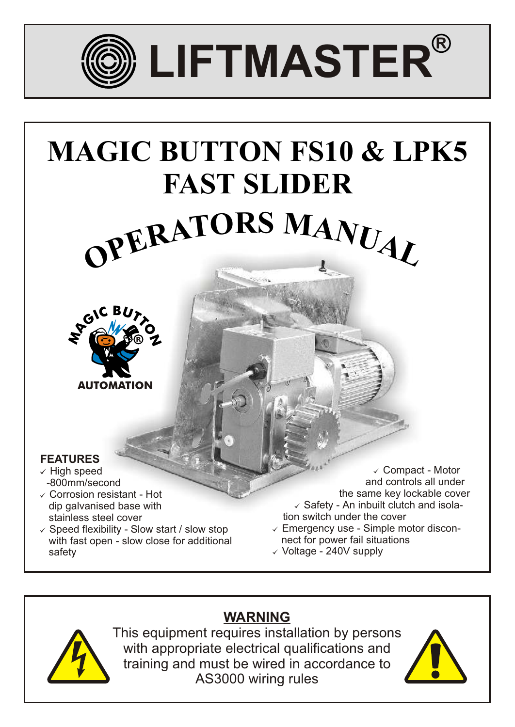

# $O$ **FERATORS MANUAL MAGIC BUTTON FS10 & LPK5 FAST SLIDER**



# **FEATURES**

- $\checkmark$  High speed -800mm/second
- $\checkmark$  Corrosion resistant Hot dip galvanised base with stainless steel cover
- $\checkmark$  Speed flexibility Slow start / slow stop with fast open - slow close for additional safety

 $\checkmark$  Compact - Motor and controls all under the same key lockable cover  $\checkmark$  Safety - An inbuilt clutch and isola tion switch under the cover  $\checkmark$  Emergency use - Simple motor discon-

- nect for power fail situations
- $\checkmark$  Voltage 240V supply



**WARNING** This equipment requires installation by persons with appropriate electrical qualifications and training and must be wired in accordance to AS3000 wiring rules

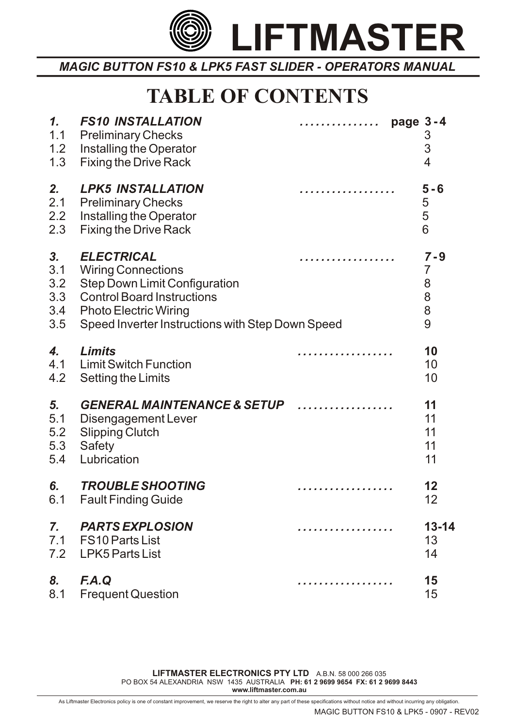

# **TABLE OF CONTENTS**

| 1.<br>1.1<br>1.2<br>1.3               | <b>FS10 INSTALLATION</b><br><b>Preliminary Checks</b><br>Installing the Operator<br><b>Fixing the Drive Rack</b>                                                                                                | . | page 3-4 | 3<br>3<br>4                                   |
|---------------------------------------|-----------------------------------------------------------------------------------------------------------------------------------------------------------------------------------------------------------------|---|----------|-----------------------------------------------|
| 2.<br>2.1<br>2.2<br>2.3               | <b>LPK5 INSTALLATION</b><br><b>Preliminary Checks</b><br>Installing the Operator<br><b>Fixing the Drive Rack</b>                                                                                                | . |          | $5 - 6$<br>5<br>5<br>6                        |
| 3.<br>3.1<br>3.2<br>3.3<br>3.4<br>3.5 | <b>ELECTRICAL</b><br><b>Wiring Connections</b><br><b>Step Down Limit Configuration</b><br><b>Control Board Instructions</b><br><b>Photo Electric Wiring</b><br>Speed Inverter Instructions with Step Down Speed |   |          | $7 - 9$<br>$\overline{7}$<br>8<br>8<br>8<br>9 |
| 4.<br>4.1<br>4.2                      | <b>Limits</b><br><b>Limit Switch Function</b><br>Setting the Limits                                                                                                                                             |   |          | 10<br>10<br>10                                |
| 5.<br>5.1<br>5.2<br>5.3<br>5.4        | <b>GENERAL MAINTENANCE &amp; SETUP</b><br>Disengagement Lever<br><b>Slipping Clutch</b><br><b>Safety</b><br>Lubrication                                                                                         |   |          | 11<br>11<br>11<br>11<br>11                    |
| 6.                                    | <b>TROUBLE SHOOTING</b><br>6.1 Fault Finding Guide                                                                                                                                                              | . |          | 12<br>12                                      |
| $\mathbf{Z}$ .                        | <b>PARTS EXPLOSION</b><br>7.1 FS10 Parts List<br>7.2 LPK5 Parts List                                                                                                                                            | . |          | $13 - 14$<br>13<br>14                         |
| 8.<br>8.1                             | F.A.Q<br><b>Frequent Question</b>                                                                                                                                                                               | . |          | 15<br>15                                      |

**LIFTMASTER ELECTRONICS PTY LTD** A.B.N. 58 000 266 035 PO BOX 54 ALEXANDRIA NSW 1435 AUSTRALIA **PH: 61 2 9699 9654 FX: 61 2 9699 8443 www.liftmaster.com.au**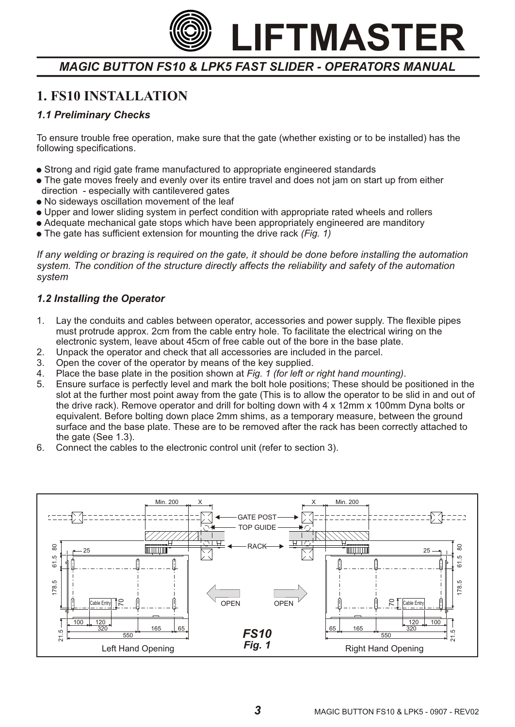*MAGIC BUTTON FS10 & LPK5 FAST SLIDER - OPERATORS MANUAL*

# **1. FS10 INSTALLATION**

### *1.1 Preliminary Checks*

To ensure trouble free operation, make sure that the gate (whether existing or to be installed) has the following specifications.

- ! Strong and rigid gate frame manufactured to appropriate engineered standards
- . The gate moves freely and evenly over its entire travel and does not jam on start up from either direction - especially with cantilevered gates
- . No sideways oscillation movement of the leaf
- ! Upper and lower sliding system in perfect condition with appropriate rated wheels and rollers
- Adequate mechanical gate stops which have been appropriately engineered are manditory
- The gate has sufficient extension for mounting the drive rack *(Fig. 1)*

*If any welding or brazing is required on the gate, it should be done before installing the automation system. The condition of the structure directly affects the reliability and safety of the automation system*

### *1.2 Installing the Operator*

- 1. Lay the conduits and cables between operator, accessories and power supply. The flexible pipes must protrude approx. 2cm from the cable entry hole. To facilitate the electrical wiring on the electronic system, leave about 45cm of free cable out of the bore in the base plate.
- 2. Unpack the operator and check that all accessories are included in the parcel.
- 3. Open the cover of the operator by means of the key supplied.
- 4. Place the base plate in the position shown at *Fig. 1 (for left or right hand mounting)*.
- 5. Ensure surface is perfectly level and mark the bolt hole positions; These should be positioned in the slot at the further most point away from the gate (This is to allow the operator to be slid in and out of the drive rack). Remove operator and drill for bolting down with 4 x 12mm x 100mm Dyna bolts or equivalent. Before bolting down place 2mm shims, as a temporary measure, between the ground surface and the base plate. These are to be removed after the rack has been correctly attached to the gate (See 1.3).
- 6. Connect the cables to the electronic control unit (refer to section 3).

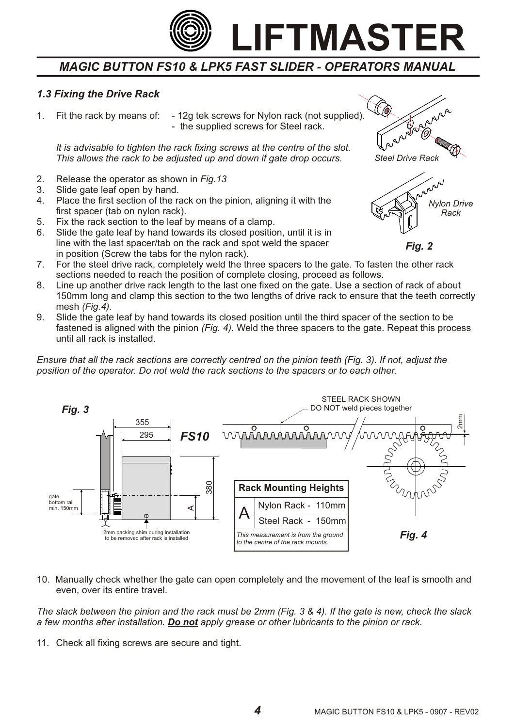

#### *1.3 Fixing the Drive Rack*

1. Fit the rack by means of: - 12g tek screws for Nylon rack (not supplied). - the supplied screws for Steel rack.

*It is advisable to tighten the rack fixing screws at the centre of the slot. This allows the rack to be adjusted up and down if gate drop occurs.*

- 2. Release the operator as shown in *Fig.13*
- 3. Slide gate leaf open by hand.
- 4. Place the first section of the rack on the pinion, aligning it with the first spacer (tab on nylon rack).
- 5. Fix the rack section to the leaf by means of a clamp.
- 6. Slide the gate leaf by hand towards its closed position, until it is in line with the last spacer/tab on the rack and spot weld the spacer in position (Screw the tabs for the nylon rack).
- 7. For the steel drive rack, completely weld the three spacers to the gate. To fasten the other rack sections needed to reach the position of complete closing, proceed as follows.
- 8. Line up another drive rack length to the last one fixed on the gate. Use a section of rack of about 150mm long and clamp this section to the two lengths of drive rack to ensure that the teeth correctly mesh *(Fig.4).*
- 9. Slide the gate leaf by hand towards its closed position until the third spacer of the section to be fastened is aligned with the pinion *(Fig. 4)*. Weld the three spacers to the gate. Repeat this process until all rack is installed.

*Ensure that all the rack sections are correctly centred on the pinion teeth (Fig. 3). If not, adjust the position of the operator. Do not weld the rack sections to the spacers or to each other.*



10. Manually check whether the gate can open completely and the movement of the leaf is smooth and even, over its entire travel.

*The slack between the pinion and the rack must be 2mm (Fig. 3 & 4). If the gate is new, check the slack a few months after installation. Do not apply grease or other lubricants to the pinion or rack.*

11. Check all fixing screws are secure and tight.



*Fig. 2*

*4*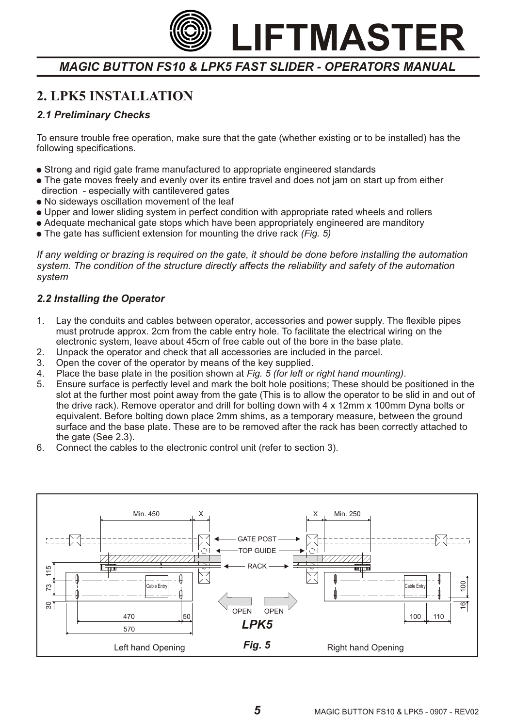*MAGIC BUTTON FS10 & LPK5 FAST SLIDER - OPERATORS MANUAL*

# **2. LPK5 INSTALLATION**

## *2.1 Preliminary Checks*

To ensure trouble free operation, make sure that the gate (whether existing or to be installed) has the following specifications.

- ! Strong and rigid gate frame manufactured to appropriate engineered standards
- . The gate moves freely and evenly over its entire travel and does not jam on start up from either direction - especially with cantilevered gates
- No sideways oscillation movement of the leaf
- ! Upper and lower sliding system in perfect condition with appropriate rated wheels and rollers
- Adequate mechanical gate stops which have been appropriately engineered are manditory
- ! The gate has sufficient extension for mounting the drive rack *(Fig. 5)*

*If any welding or brazing is required on the gate, it should be done before installing the automation system. The condition of the structure directly affects the reliability and safety of the automation system*

### *2.2 Installing the Operator*

- 1. Lay the conduits and cables between operator, accessories and power supply. The flexible pipes must protrude approx. 2cm from the cable entry hole. To facilitate the electrical wiring on the electronic system, leave about 45cm of free cable out of the bore in the base plate.
- 2. Unpack the operator and check that all accessories are included in the parcel.
- 3. Open the cover of the operator by means of the key supplied.
- 4. Place the base plate in the position shown at *Fig. 5 (for left or right hand mounting)*.
- 5. Ensure surface is perfectly level and mark the bolt hole positions; These should be positioned in the slot at the further most point away from the gate (This is to allow the operator to be slid in and out of the drive rack). Remove operator and drill for bolting down with 4 x 12mm x 100mm Dyna bolts or equivalent. Before bolting down place 2mm shims, as a temporary measure, between the ground surface and the base plate. These are to be removed after the rack has been correctly attached to the gate (See 2.3).
- 6. Connect the cables to the electronic control unit (refer to section 3).

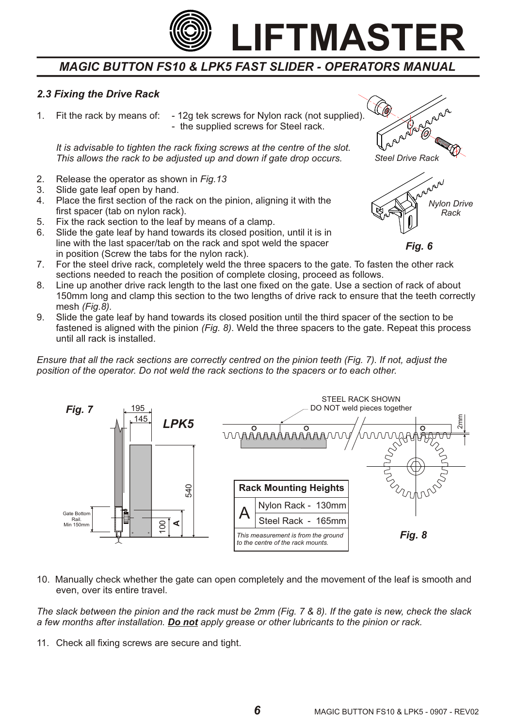

#### *2.3 Fixing the Drive Rack*

1. Fit the rack by means of: - 12g tek screws for Nylon rack (not supplied). - the supplied screws for Steel rack.

*It is advisable to tighten the rack fixing screws at the centre of the slot. This allows the rack to be adjusted up and down if gate drop occurs.*

- 2. Release the operator as shown in *Fig.13*
- 3. Slide gate leaf open by hand.
- 4. Place the first section of the rack on the pinion, aligning it with the first spacer (tab on nylon rack).
- 5. Fix the rack section to the leaf by means of a clamp.
- 6. Slide the gate leaf by hand towards its closed position, until it is in line with the last spacer/tab on the rack and spot weld the spacer in position (Screw the tabs for the nylon rack).
- 7. For the steel drive rack, completely weld the three spacers to the gate. To fasten the other rack sections needed to reach the position of complete closing, proceed as follows.
- 8. Line up another drive rack length to the last one fixed on the gate. Use a section of rack of about 150mm long and clamp this section to the two lengths of drive rack to ensure that the teeth correctly mesh *(Fig.8).*
- 9. Slide the gate leaf by hand towards its closed position until the third spacer of the section to be fastened is aligned with the pinion *(Fig. 8)*. Weld the three spacers to the gate. Repeat this process until all rack is installed.

*Ensure that all the rack sections are correctly centred on the pinion teeth (Fig. 7). If not, adjust the position of the operator. Do not weld the rack sections to the spacers or to each other.*



10. Manually check whether the gate can open completely and the movement of the leaf is smooth and even, over its entire travel.

*The slack between the pinion and the rack must be 2mm (Fig. 7 & 8). If the gate is new, check the slack a few months after installation. Do not apply grease or other lubricants to the pinion or rack.*

11. Check all fixing screws are secure and tight.



*Fig. 6*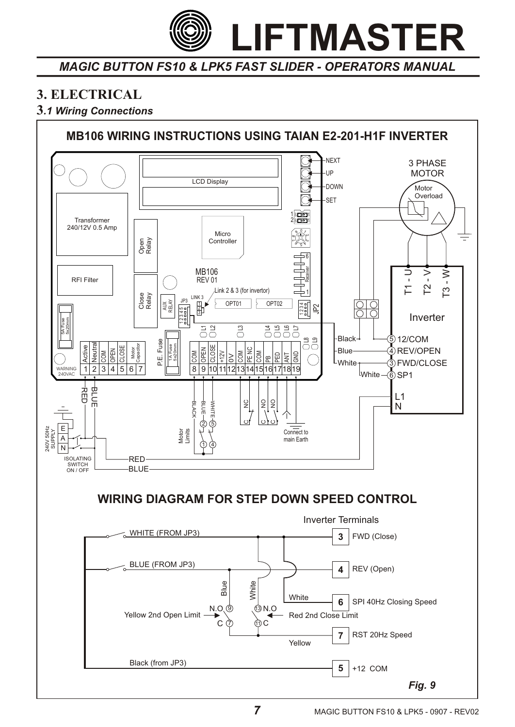

# **3. ELECTRICAL**

# **3***.1 Wiring Connections*

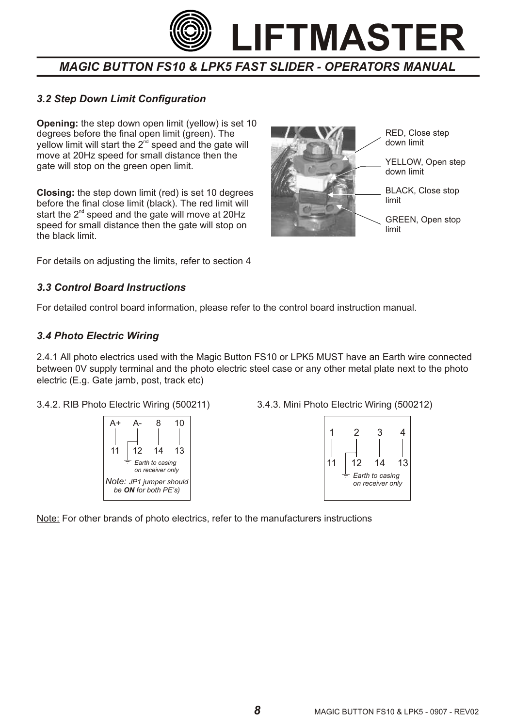

### *3.2 Step Down Limit Configuration*

**Opening:** the step down open limit (yellow) is set 10 degrees before the final open limit (green). The yellow limit will start the  $2<sup>nd</sup>$  speed and the gate will move at 20Hz speed for small distance then the gate will stop on the green open limit.

**Closing:** the step down limit (red) is set 10 degrees before the final close limit (black). The red limit will start the  $2<sup>nd</sup>$  speed and the gate will move at 20Hz speed for small distance then the gate will stop on the black limit.



For details on adjusting the limits, refer to section 4

#### *3.3 Control Board Instructions*

For detailed control board information, please refer to the control board instruction manual.

#### *3.4 Photo Electric Wiring*

2.4.1 All photo electrics used with the Magic Button FS10 or LPK5 MUST have an Earth wire connected between 0V supply terminal and the photo electric steel case or any other metal plate next to the photo electric (E.g. Gate jamb, post, track etc)

#### 3.4.2. RIB Photo Electric Wiring (500211) 3.4.3. Mini Photo Electric Wiring (500212)





Note: For other brands of photo electrics, refer to the manufacturers instructions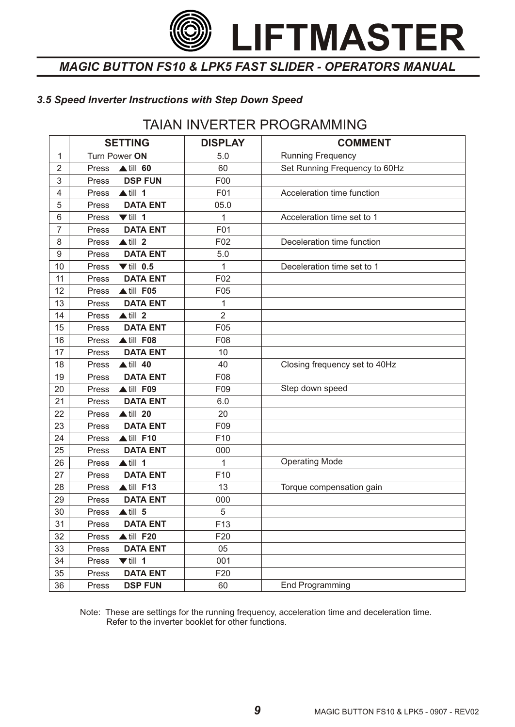*MAGIC BUTTON FS10 & LPK5 FAST SLIDER - OPERATORS MANUAL*

### *3.5 Speed Inverter Instructions with Step Down Speed*

# TAIAN INVERTER PROGRAMMING

|                | <b>SETTING</b>                | <b>DISPLAY</b>  | <b>COMMENT</b>                |
|----------------|-------------------------------|-----------------|-------------------------------|
| 1              | Turn Power ON                 | 5.0             | <b>Running Frequency</b>      |
| $\overline{2}$ | $\triangle$ till 60<br>Press  | 60              | Set Running Frequency to 60Hz |
| 3              | <b>DSP FUN</b><br>Press       | F00             |                               |
| 4              | $\triangle$ till 1<br>Press   | F01             | Acceleration time function    |
| 5              | <b>DATA ENT</b><br>Press      | 05.0            |                               |
| 6              | $\nabla$ till 1<br>Press      | 1               | Acceleration time set to 1    |
| $\overline{7}$ | <b>DATA ENT</b><br>Press      | F01             |                               |
| 8              | $\triangle$ till 2<br>Press   | F02             | Deceleration time function    |
| 9              | <b>DATA ENT</b><br>Press      | 5.0             |                               |
| 10             | $\P$ till 0.5<br>Press        | 1               | Deceleration time set to 1    |
| 11             | <b>DATA ENT</b><br>Press      | F02             |                               |
| 12             | ▲ till F05<br>Press           | F05             |                               |
| 13             | <b>DATA ENT</b><br>Press      | 1               |                               |
| 14             | $\triangle$ till 2<br>Press   | $\overline{2}$  |                               |
| 15             | <b>DATA ENT</b><br>Press      | F05             |                               |
| 16             | ▲ till F08<br>Press           | F08             |                               |
| 17             | <b>DATA ENT</b><br>Press      | 10              |                               |
| 18             | $\triangle$ till 40<br>Press  | 40              | Closing frequency set to 40Hz |
| 19             | <b>DATA ENT</b><br>Press      | F08             |                               |
| 20             | ▲till F09<br>Press            | F09             | Step down speed               |
| 21             | <b>DATA ENT</b><br>Press      | 6.0             |                               |
| 22             | $\triangle$ till 20<br>Press  | 20              |                               |
| 23             | <b>DATA ENT</b><br>Press      | F09             |                               |
| 24             | $\triangle$ till F10<br>Press | F <sub>10</sub> |                               |
| 25             | <b>DATA ENT</b><br>Press      | 000             |                               |
| 26             | $\triangle$ till 1<br>Press   | 1               | <b>Operating Mode</b>         |
| 27             | <b>DATA ENT</b><br>Press      | F <sub>10</sub> |                               |
| 28             | $\triangle$ till F13<br>Press | 13              | Torque compensation gain      |
| 29             | <b>DATA ENT</b><br>Press      | 000             |                               |
| 30             | $\triangle$ till 5<br>Press   | 5               |                               |
| 31             | <b>DATA ENT</b><br>Press      | F <sub>13</sub> |                               |
| 32             | $\triangle$ till F20<br>Press | F20             |                               |
| 33             | <b>DATA ENT</b><br>Press      | 05              |                               |
| 34             | $\nabla$ till 1<br>Press      | 001             |                               |
| 35             | <b>DATA ENT</b><br>Press      | F20             |                               |
| 36             | <b>DSP FUN</b><br>Press       | 60              | <b>End Programming</b>        |

Note: These are settings for the running frequency, acceleration time and deceleration time. Refer to the inverter booklet for other functions.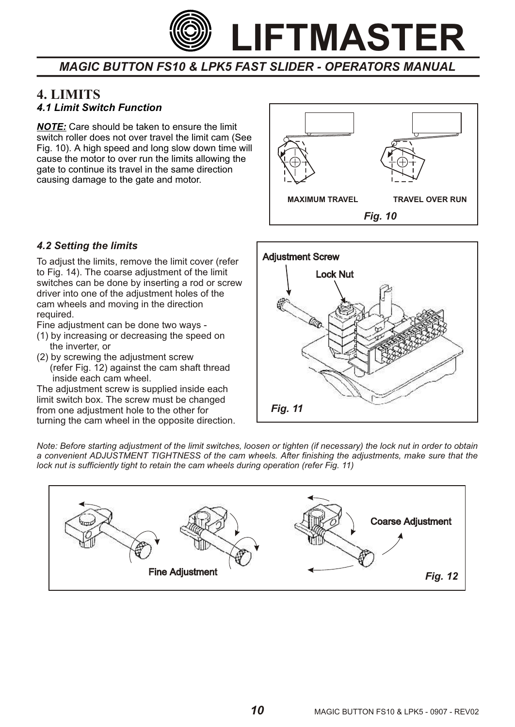

# *4.1 Limit Switch Function* **4. LIMITS**

*NOTE:* Care should be taken to ensure the limit switch roller does not over travel the limit cam (See Fig. 10). A high speed and long slow down time will cause the motor to over run the limits allowing the gate to continue its travel in the same direction causing damage to the gate and motor.



#### *4.2 Setting the limits*

To adjust the limits, remove the limit cover (refer to Fig. 14). The coarse adjustment of the limit switches can be done by inserting a rod or screw driver into one of the adjustment holes of the cam wheels and moving in the direction required.

Fine adjustment can be done two ways -

- (1) by increasing or decreasing the speed on the inverter, or
- (2) by screwing the adjustment screw (refer Fig. 12) against the cam shaft thread inside each cam wheel.

The adjustment screw is supplied inside each limit switch box. The screw must be changed from one adjustment hole to the other for turning the cam wheel in the opposite direction.



*Note: Before starting adjustment of the limit switches, loosen or tighten (if necessary) the lock nut in order to obtain a convenient ADJUSTMENT TIGHTNESS of the cam wheels. After finishing the adjustments, make sure that the lock nut is sufficiently tight to retain the cam wheels during operation (refer Fig. 11)*

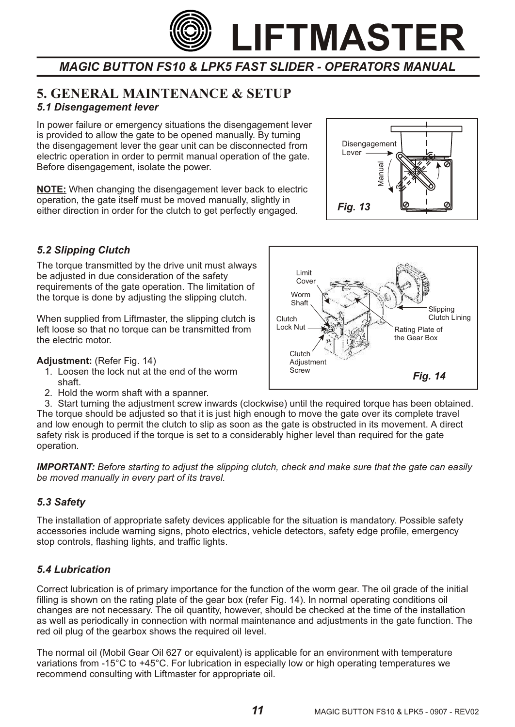

# **5. GENERAL MAINTENANCE & SETUP** *5.1 Disengagement lever*

In power failure or emergency situations the disengagement lever is provided to allow the gate to be opened manually. By turning the disengagement lever the gear unit can be disconnected from electric operation in order to permit manual operation of the gate. Before disengagement, isolate the power.

**NOTE:** When changing the disengagement lever back to electric operation, the gate itself must be moved manually, slightly in either direction in order for the clutch to get perfectly engaged.



#### *5.2 Slipping Clutch*

The torque transmitted by the drive unit must always be adjusted in due consideration of the safety requirements of the gate operation. The limitation of the torque is done by adjusting the slipping clutch.

When supplied from Liftmaster, the slipping clutch is left loose so that no torque can be transmitted from the electric motor.

#### **Adjustment:** (Refer Fig. 14)

- 1. Loosen the lock nut at the end of the worm shaft.
- 2. Hold the worm shaft with a spanner.



 3. Start turning the adjustment screw inwards (clockwise) until the required torque has been obtained. The torque should be adjusted so that it is just high enough to move the gate over its complete travel and low enough to permit the clutch to slip as soon as the gate is obstructed in its movement. A direct safety risk is produced if the torque is set to a considerably higher level than required for the gate operation.

*IMPORTANT: Before starting to adjust the slipping clutch, check and make sure that the gate can easily be moved manually in every part of its travel.*

#### *5.3 Safety*

The installation of appropriate safety devices applicable for the situation is mandatory. Possible safety accessories include warning signs, photo electrics, vehicle detectors, safety edge profile, emergency stop controls, flashing lights, and traffic lights.

#### *5.4 Lubrication*

Correct lubrication is of primary importance for the function of the worm gear. The oil grade of the initial filling is shown on the rating plate of the gear box (refer Fig. 14). In normal operating conditions oil changes are not necessary. The oil quantity, however, should be checked at the time of the installation as well as periodically in connection with normal maintenance and adjustments in the gate function. The red oil plug of the gearbox shows the required oil level.

The normal oil (Mobil Gear Oil 627 or equivalent) is applicable for an environment with temperature variations from -15°C to +45°C. For lubrication in especially low or high operating temperatures we recommend consulting with Liftmaster for appropriate oil.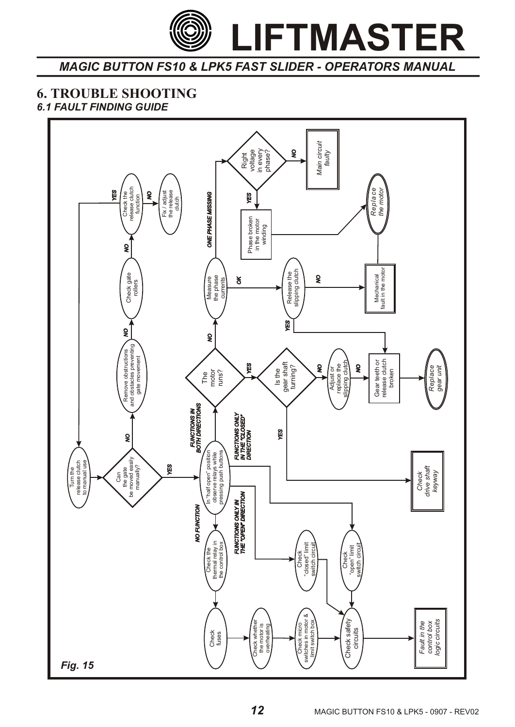*MAGIC BUTTON FS10 & LPK5 FAST SLIDER - OPERATORS MANUAL*

# **6. TROUBLE SHOOTING**

# *6.1 FAULT FINDING GUIDE*

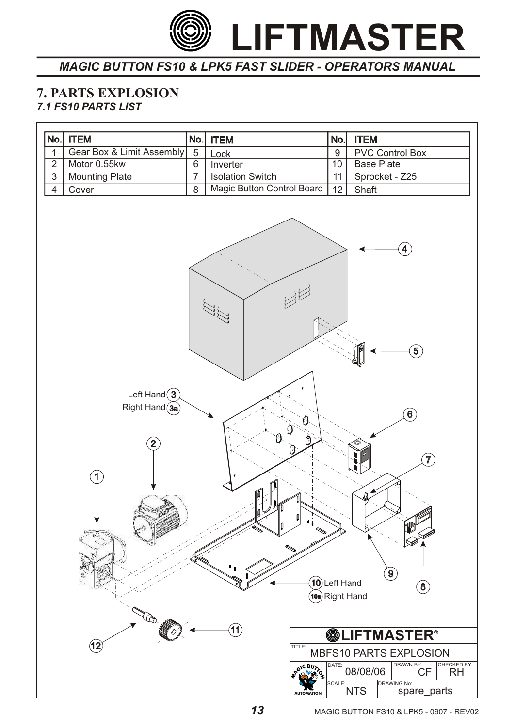

#### **7. PARTS EXPLOSION** *7.1 FS10 PARTS LIST*

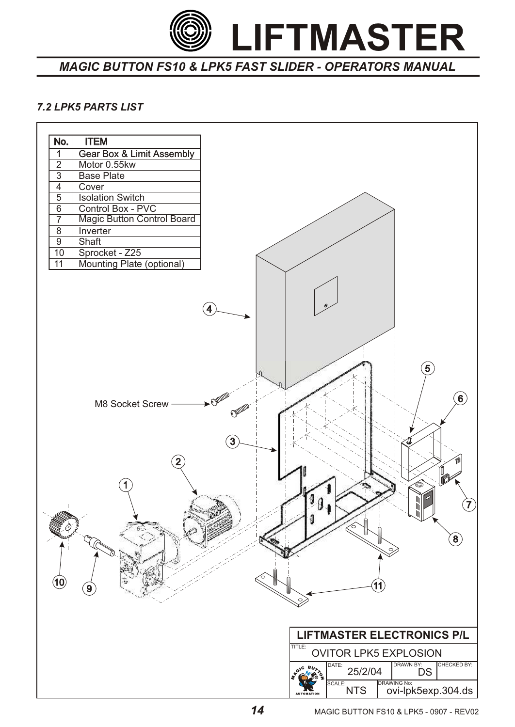

## *7.2 LPK5 PARTS LIST*

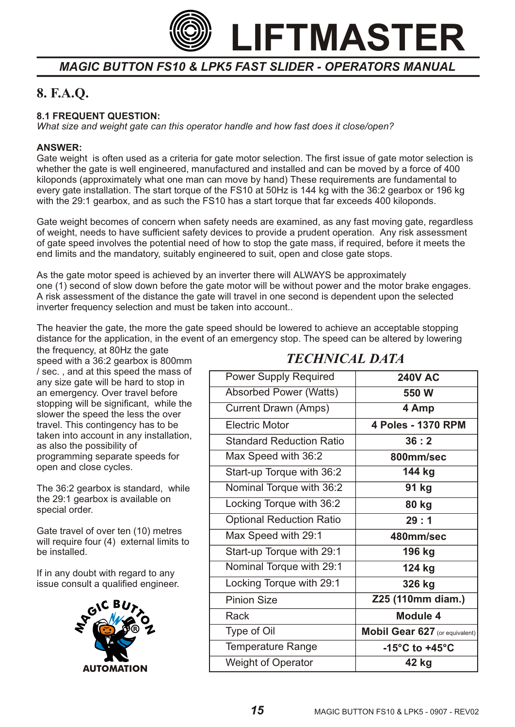

# **8. F.A.Q.**

#### **8.1 FREQUENT QUESTION:**

*What size and weight gate can this operator handle and how fast does it close/open?*

#### **ANSWER:**

Gate weight is often used as a criteria for gate motor selection. The first issue of gate motor selection is whether the gate is well engineered, manufactured and installed and can be moved by a force of 400 kiloponds (approximately what one man can move by hand) These requirements are fundamental to every gate installation. The start torque of the FS10 at 50Hz is 144 kg with the 36:2 gearbox or 196 kg with the 29:1 gearbox, and as such the FS10 has a start torque that far exceeds 400 kiloponds.

Gate weight becomes of concern when safety needs are examined, as any fast moving gate, regardless of weight, needs to have sufficient safety devices to provide a prudent operation. Any risk assessment of gate speed involves the potential need of how to stop the gate mass, if required, before it meets the end limits and the mandatory, suitably engineered to suit, open and close gate stops.

As the gate motor speed is achieved by an inverter there will ALWAYS be approximately one (1) second of slow down before the gate motor will be without power and the motor brake engages. A risk assessment of the distance the gate will travel in one second is dependent upon the selected inverter frequency selection and must be taken into account..

The heavier the gate, the more the gate speed should be lowered to achieve an acceptable stopping distance for the application, in the event of an emergency stop. The speed can be altered by lowering

the frequency, at 80Hz the gate speed with a 36:2 gearbox is 800mm / sec. , and at this speed the mass of any size gate will be hard to stop in an emergency. Over travel before stopping will be significant, while the slower the speed the less the over travel. This contingency has to be taken into account in any installation, as also the possibility of programming separate speeds for open and close cycles.

The 36:2 gearbox is standard, while the 29:1 gearbox is available on special order.

Gate travel of over ten (10) metres will require four (4) external limits to be installed.

If in any doubt with regard to any issue consult a qualified engineer.



# *TECHNICAL DATA*

| <b>Power Supply Required</b>    | <b>240V AC</b>                       |
|---------------------------------|--------------------------------------|
| <b>Absorbed Power (Watts)</b>   | 550 W                                |
| <b>Current Drawn (Amps)</b>     | 4 Amp                                |
| Electric Motor                  | 4 Poles - 1370 RPM                   |
| <b>Standard Reduction Ratio</b> | 36:2                                 |
| Max Speed with 36:2             | 800mm/sec                            |
| Start-up Torque with 36:2       | 144 kg                               |
| Nominal Torque with 36:2        | 91 kg                                |
| Locking Torque with 36:2        | 80 kg                                |
| <b>Optional Reduction Ratio</b> | 29:1                                 |
| Max Speed with 29:1             | 480mm/sec                            |
| Start-up Torque with 29:1       | 196 kg                               |
| Nominal Torque with 29:1        | 124 kg                               |
| Locking Torque with 29:1        | 326 kg                               |
| <b>Pinion Size</b>              | Z25 (110mm diam.)                    |
| Rack                            | <b>Module 4</b>                      |
| Type of Oil                     | Mobil Gear 627 (or equivalent)       |
| <b>Temperature Range</b>        | -15 $^{\circ}$ C to +45 $^{\circ}$ C |
| <b>Weight of Operator</b>       | 42 kg                                |
|                                 |                                      |